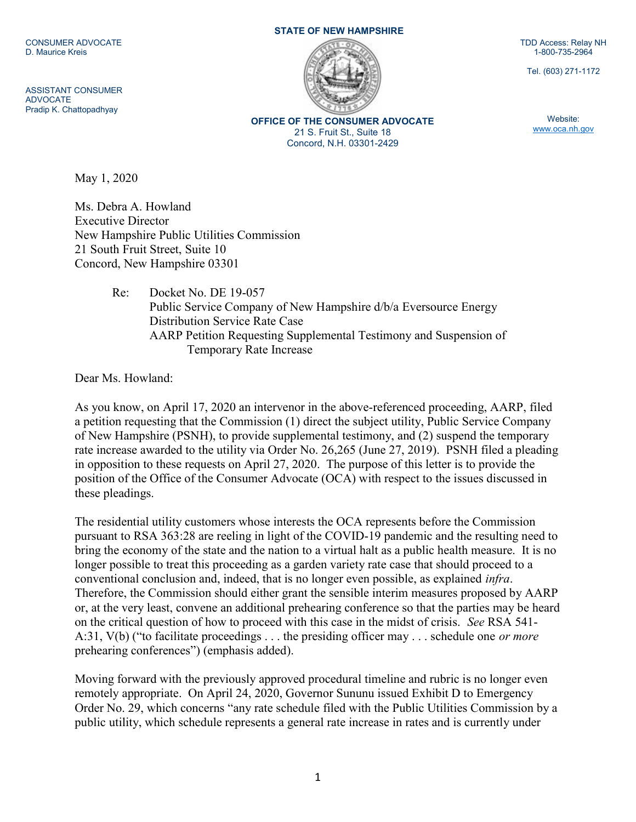CONSUMER ADVOCATE D. Maurice Kreis

ASSISTANT CONSUMER ADVOCATE Pradip K. Chattopadhyay

STATE OF NEW HAMPSHIRE



OFFICE OF THE CONSUMER ADVOCATE 21 S. Fruit St., Suite 18 Concord, N.H. 03301-2429

TDD Access: Relay NH 1-800-735-2964

Tel. (603) 271-1172

Website: www.oca.nh.gov

May 1, 2020

Ms. Debra A. Howland Executive Director New Hampshire Public Utilities Commission 21 South Fruit Street, Suite 10 Concord, New Hampshire 03301

> Re: Docket No. DE 19-057 Public Service Company of New Hampshire d/b/a Eversource Energy Distribution Service Rate Case AARP Petition Requesting Supplemental Testimony and Suspension of Temporary Rate Increase

Dear Ms. Howland:

As you know, on April 17, 2020 an intervenor in the above-referenced proceeding, AARP, filed a petition requesting that the Commission (1) direct the subject utility, Public Service Company of New Hampshire (PSNH), to provide supplemental testimony, and (2) suspend the temporary rate increase awarded to the utility via Order No. 26,265 (June 27, 2019). PSNH filed a pleading in opposition to these requests on April 27, 2020. The purpose of this letter is to provide the position of the Office of the Consumer Advocate (OCA) with respect to the issues discussed in these pleadings.

The residential utility customers whose interests the OCA represents before the Commission pursuant to RSA 363:28 are reeling in light of the COVID-19 pandemic and the resulting need to bring the economy of the state and the nation to a virtual halt as a public health measure. It is no longer possible to treat this proceeding as a garden variety rate case that should proceed to a conventional conclusion and, indeed, that is no longer even possible, as explained infra. Therefore, the Commission should either grant the sensible interim measures proposed by AARP or, at the very least, convene an additional prehearing conference so that the parties may be heard on the critical question of how to proceed with this case in the midst of crisis. See RSA 541- A:31, V(b) ("to facilitate proceedings  $\dots$  the presiding officer may  $\dots$  schedule one *or more* prehearing conferences") (emphasis added).

Moving forward with the previously approved procedural timeline and rubric is no longer even remotely appropriate. On April 24, 2020, Governor Sununu issued Exhibit D to Emergency Order No. 29, which concerns "any rate schedule filed with the Public Utilities Commission by a public utility, which schedule represents a general rate increase in rates and is currently under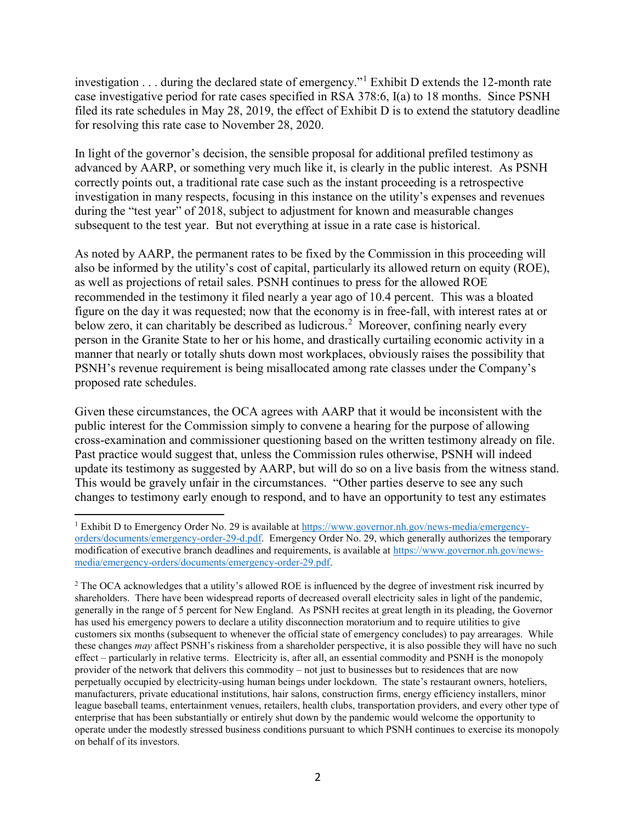investigation . . . during the declared state of emergency."<sup>1</sup> Exhibit D extends the 12-month rate case investigative period for rate cases specified in RSA 378:6, I(a) to 18 months. Since PSNH filed its rate schedules in May 28, 2019, the effect of Exhibit D is to extend the statutory deadline for resolving this rate case to November 28, 2020.

In light of the governor's decision, the sensible proposal for additional prefiled testimony as advanced by AARP, or something very much like it, is clearly in the public interest. As PSNH correctly points out, a traditional rate case such as the instant proceeding is a retrospective investigation in many respects, focusing in this instance on the utility's expenses and revenues during the "test year" of 2018, subject to adjustment for known and measurable changes subsequent to the test year. But not everything at issue in a rate case is historical.

As noted by AARP, the permanent rates to be fixed by the Commission in this proceeding will also be informed by the utility's cost of capital, particularly its allowed return on equity (ROE), as well as projections of retail sales. PSNH continues to press for the allowed ROE recommended in the testimony it filed nearly a year ago of 10.4 percent. This was a bloated figure on the day it was requested; now that the economy is in free-fall, with interest rates at or below zero, it can charitably be described as ludicrous.<sup>2</sup> Moreover, confining nearly every person in the Granite State to her or his home, and drastically curtailing economic activity in a manner that nearly or totally shuts down most workplaces, obviously raises the possibility that PSNH's revenue requirement is being misallocated among rate classes under the Company's proposed rate schedules.

Given these circumstances, the OCA agrees with AARP that it would be inconsistent with the public interest for the Commission simply to convene a hearing for the purpose of allowing cross-examination and commissioner questioning based on the written testimony already on file. Past practice would suggest that, unless the Commission rules otherwise, PSNH will indeed update its testimony as suggested by AARP, but will do so on a live basis from the witness stand. This would be gravely unfair in the circumstances. "Other parties deserve to see any such changes to testimony early enough to respond, and to have an opportunity to test any estimates

l

<sup>&</sup>lt;sup>1</sup> Exhibit D to Emergency Order No. 29 is available at https://www.governor.nh.gov/news-media/emergencyorders/documents/emergency-order-29-d.pdf. Emergency Order No. 29, which generally authorizes the temporary modification of executive branch deadlines and requirements, is available at https://www.governor.nh.gov/newsmedia/emergency-orders/documents/emergency-order-29.pdf.

<sup>&</sup>lt;sup>2</sup> The OCA acknowledges that a utility's allowed ROE is influenced by the degree of investment risk incurred by shareholders. There have been widespread reports of decreased overall electricity sales in light of the pandemic, generally in the range of 5 percent for New England. As PSNH recites at great length in its pleading, the Governor has used his emergency powers to declare a utility disconnection moratorium and to require utilities to give customers six months (subsequent to whenever the official state of emergency concludes) to pay arrearages. While these changes may affect PSNH's riskiness from a shareholder perspective, it is also possible they will have no such effect – particularly in relative terms. Electricity is, after all, an essential commodity and PSNH is the monopoly provider of the network that delivers this commodity – not just to businesses but to residences that are now perpetually occupied by electricity-using human beings under lockdown. The state's restaurant owners, hoteliers, manufacturers, private educational institutions, hair salons, construction firms, energy efficiency installers, minor league baseball teams, entertainment venues, retailers, health clubs, transportation providers, and every other type of enterprise that has been substantially or entirely shut down by the pandemic would welcome the opportunity to operate under the modestly stressed business conditions pursuant to which PSNH continues to exercise its monopoly on behalf of its investors.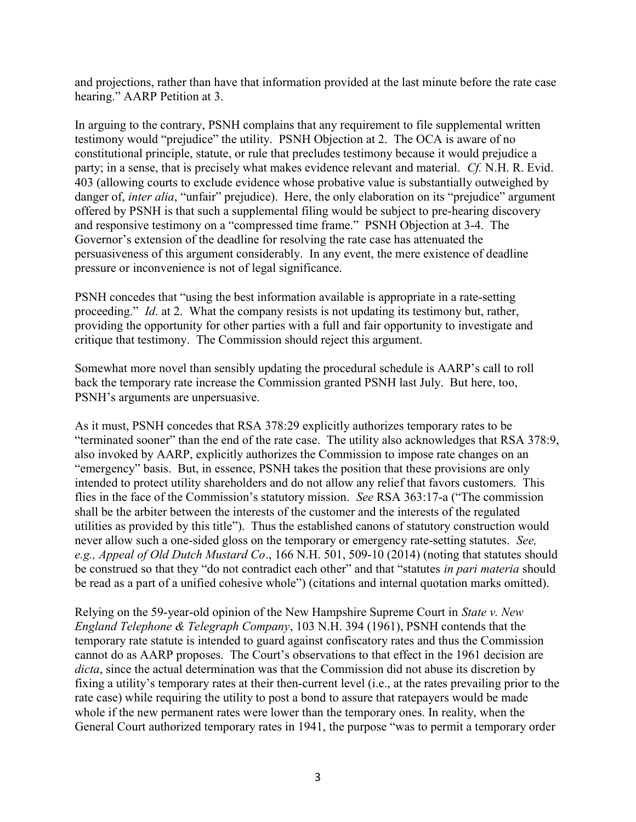and projections, rather than have that information provided at the last minute before the rate case hearing." AARP Petition at 3.

In arguing to the contrary, PSNH complains that any requirement to file supplemental written testimony would "prejudice" the utility. PSNH Objection at 2. The OCA is aware of no constitutional principle, statute, or rule that precludes testimony because it would prejudice a party; in a sense, that is precisely what makes evidence relevant and material. Cf. N.H. R. Evid. 403 (allowing courts to exclude evidence whose probative value is substantially outweighed by danger of, inter alia, "unfair" prejudice). Here, the only elaboration on its "prejudice" argument offered by PSNH is that such a supplemental filing would be subject to pre-hearing discovery and responsive testimony on a "compressed time frame." PSNH Objection at 3-4. The Governor's extension of the deadline for resolving the rate case has attenuated the persuasiveness of this argument considerably. In any event, the mere existence of deadline pressure or inconvenience is not of legal significance.

PSNH concedes that "using the best information available is appropriate in a rate-setting proceeding." *Id.* at 2. What the company resists is not updating its testimony but, rather, providing the opportunity for other parties with a full and fair opportunity to investigate and critique that testimony. The Commission should reject this argument.

Somewhat more novel than sensibly updating the procedural schedule is AARP's call to roll back the temporary rate increase the Commission granted PSNH last July. But here, too, PSNH's arguments are unpersuasive.

As it must, PSNH concedes that RSA 378:29 explicitly authorizes temporary rates to be "terminated sooner" than the end of the rate case. The utility also acknowledges that RSA 378:9, also invoked by AARP, explicitly authorizes the Commission to impose rate changes on an "emergency" basis. But, in essence, PSNH takes the position that these provisions are only intended to protect utility shareholders and do not allow any relief that favors customers. This flies in the face of the Commission's statutory mission. See RSA 363:17-a ("The commission shall be the arbiter between the interests of the customer and the interests of the regulated utilities as provided by this title"). Thus the established canons of statutory construction would never allow such a one-sided gloss on the temporary or emergency rate-setting statutes. See, e.g., Appeal of Old Dutch Mustard Co., 166 N.H. 501, 509-10 (2014) (noting that statutes should be construed so that they "do not contradict each other" and that "statutes in pari materia should be read as a part of a unified cohesive whole") (citations and internal quotation marks omitted).

Relying on the 59-year-old opinion of the New Hampshire Supreme Court in State v. New England Telephone & Telegraph Company, 103 N.H. 394 (1961), PSNH contends that the temporary rate statute is intended to guard against confiscatory rates and thus the Commission cannot do as AARP proposes. The Court's observations to that effect in the 1961 decision are dicta, since the actual determination was that the Commission did not abuse its discretion by fixing a utility's temporary rates at their then-current level (i.e., at the rates prevailing prior to the rate case) while requiring the utility to post a bond to assure that ratepayers would be made whole if the new permanent rates were lower than the temporary ones. In reality, when the General Court authorized temporary rates in 1941, the purpose "was to permit a temporary order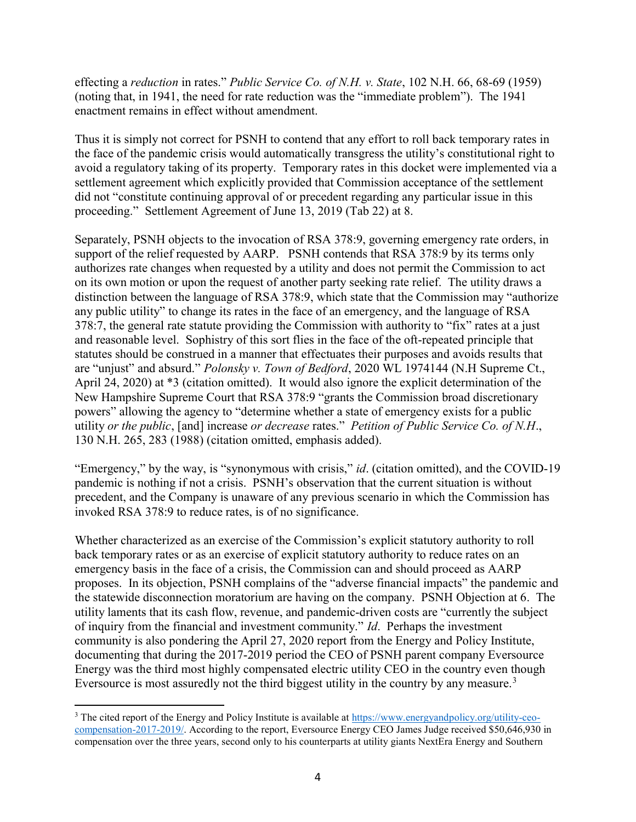effecting a reduction in rates." Public Service Co. of N.H. v. State, 102 N.H. 66, 68-69 (1959) (noting that, in 1941, the need for rate reduction was the "immediate problem"). The 1941 enactment remains in effect without amendment.

Thus it is simply not correct for PSNH to contend that any effort to roll back temporary rates in the face of the pandemic crisis would automatically transgress the utility's constitutional right to avoid a regulatory taking of its property. Temporary rates in this docket were implemented via a settlement agreement which explicitly provided that Commission acceptance of the settlement did not "constitute continuing approval of or precedent regarding any particular issue in this proceeding." Settlement Agreement of June 13, 2019 (Tab 22) at 8.

Separately, PSNH objects to the invocation of RSA 378:9, governing emergency rate orders, in support of the relief requested by AARP. PSNH contends that RSA 378:9 by its terms only authorizes rate changes when requested by a utility and does not permit the Commission to act on its own motion or upon the request of another party seeking rate relief. The utility draws a distinction between the language of RSA 378:9, which state that the Commission may "authorize any public utility" to change its rates in the face of an emergency, and the language of RSA 378:7, the general rate statute providing the Commission with authority to "fix" rates at a just and reasonable level. Sophistry of this sort flies in the face of the oft-repeated principle that statutes should be construed in a manner that effectuates their purposes and avoids results that are "unjust" and absurd." Polonsky v. Town of Bedford, 2020 WL 1974144 (N.H Supreme Ct., April 24, 2020) at \*3 (citation omitted). It would also ignore the explicit determination of the New Hampshire Supreme Court that RSA 378:9 "grants the Commission broad discretionary powers" allowing the agency to "determine whether a state of emergency exists for a public utility or the public, [and] increase or decrease rates." Petition of Public Service Co. of N.H., 130 N.H. 265, 283 (1988) (citation omitted, emphasis added).

"Emergency," by the way, is "synonymous with crisis," *id.* (citation omitted), and the COVID-19 pandemic is nothing if not a crisis. PSNH's observation that the current situation is without precedent, and the Company is unaware of any previous scenario in which the Commission has invoked RSA 378:9 to reduce rates, is of no significance.

Whether characterized as an exercise of the Commission's explicit statutory authority to roll back temporary rates or as an exercise of explicit statutory authority to reduce rates on an emergency basis in the face of a crisis, the Commission can and should proceed as AARP proposes. In its objection, PSNH complains of the "adverse financial impacts" the pandemic and the statewide disconnection moratorium are having on the company. PSNH Objection at 6. The utility laments that its cash flow, revenue, and pandemic-driven costs are "currently the subject of inquiry from the financial and investment community." Id. Perhaps the investment community is also pondering the April 27, 2020 report from the Energy and Policy Institute, documenting that during the 2017-2019 period the CEO of PSNH parent company Eversource Energy was the third most highly compensated electric utility CEO in the country even though Eversource is most assuredly not the third biggest utility in the country by any measure.<sup>3</sup>

l

<sup>&</sup>lt;sup>3</sup> The cited report of the Energy and Policy Institute is available at https://www.energyandpolicy.org/utility-ceocompensation-2017-2019/. According to the report, Eversource Energy CEO James Judge received \$50,646,930 in compensation over the three years, second only to his counterparts at utility giants NextEra Energy and Southern